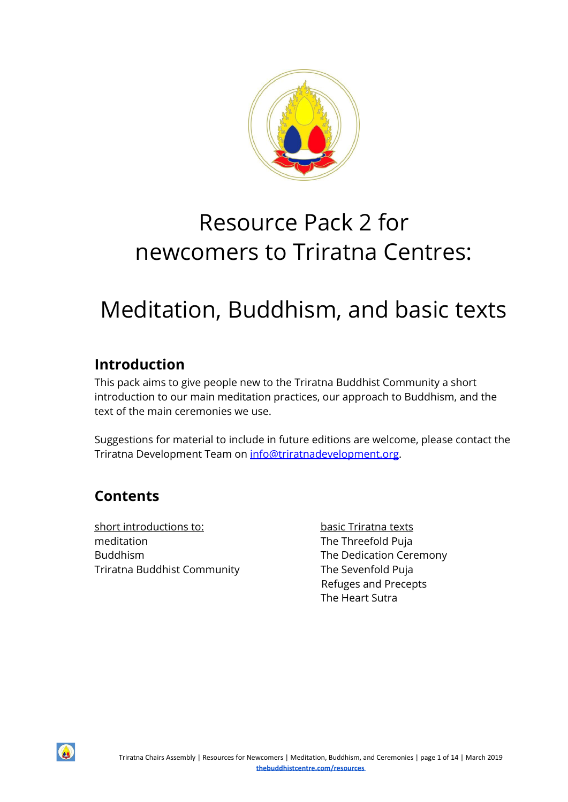

## Resource Pack 2 for newcomers to Triratna Centres:

## Meditation, Buddhism, and basic texts

## **Introduction**

This pack aims to give people new to the Triratna Buddhist Community a short introduction to our main meditation practices, our approach to Buddhism, and the text of the main ceremonies we use.

Suggestions for material to include in future editions are welcome, please contact the Triratna Development Team on [info@triratnadevelopment.org.](mailto:info@triratnadevelopment.org)

## **Contents**

short introductions to: meditation Buddhism Triratna Buddhist Community basic Triratna texts The Threefold Puja The Dedication Ceremony The Sevenfold Puja Refuges and Precepts The Heart Sutra

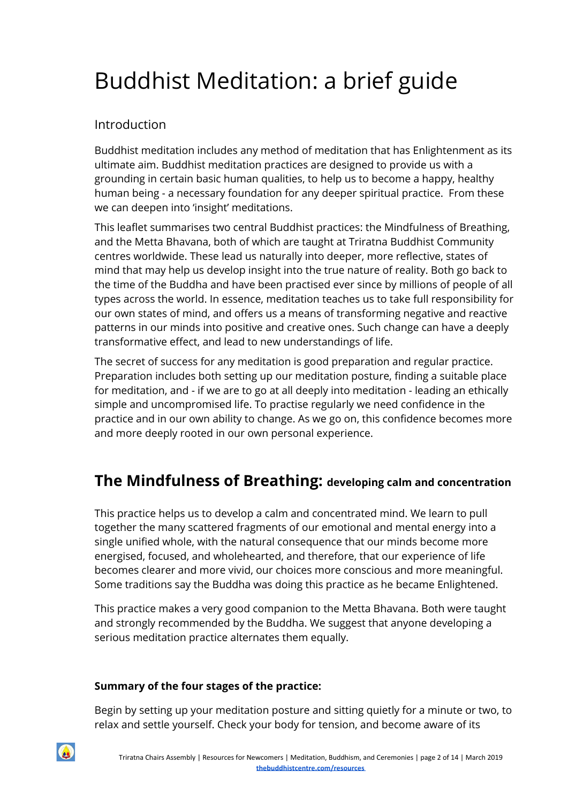# Buddhist Meditation: a brief guide

### Introduction

Buddhist meditation includes any method of meditation that has Enlightenment as its ultimate aim. Buddhist meditation practices are designed to provide us with a grounding in certain basic human qualities, to help us to become a happy, healthy human being - a necessary foundation for any deeper spiritual practice. From these we can deepen into 'insight' meditations.

This leaflet summarises two central Buddhist practices: the Mindfulness of Breathing, and the Metta Bhavana, both of which are taught at Triratna Buddhist Community centres worldwide. These lead us naturally into deeper, more reflective, states of mind that may help us develop insight into the true nature of reality. Both go back to the time of the Buddha and have been practised ever since by millions of people of all types across the world. In essence, meditation teaches us to take full responsibility for our own states of mind, and offers us a means of transforming negative and reactive patterns in our minds into positive and creative ones. Such change can have a deeply transformative effect, and lead to new understandings of life.

The secret of success for any meditation is good preparation and regular practice. Preparation includes both setting up our meditation posture, finding a suitable place for meditation, and - if we are to go at all deeply into meditation - leading an ethically simple and uncompromised life. To practise regularly we need confidence in the practice and in our own ability to change. As we go on, this confidence becomes more and more deeply rooted in our own personal experience.

## **The Mindfulness of Breathing: developing calm and concentration**

This practice helps us to develop a calm and concentrated mind. We learn to pull together the many scattered fragments of our emotional and mental energy into a single unified whole, with the natural consequence that our minds become more energised, focused, and wholehearted, and therefore, that our experience of life becomes clearer and more vivid, our choices more conscious and more meaningful. Some traditions say the Buddha was doing this practice as he became Enlightened.

This practice makes a very good companion to the Metta Bhavana. Both were taught and strongly recommended by the Buddha. We suggest that anyone developing a serious meditation practice alternates them equally.

#### **Summary of the four stages of the practice:**

Begin by setting up your meditation posture and sitting quietly for a minute or two, to relax and settle yourself. Check your body for tension, and become aware of its

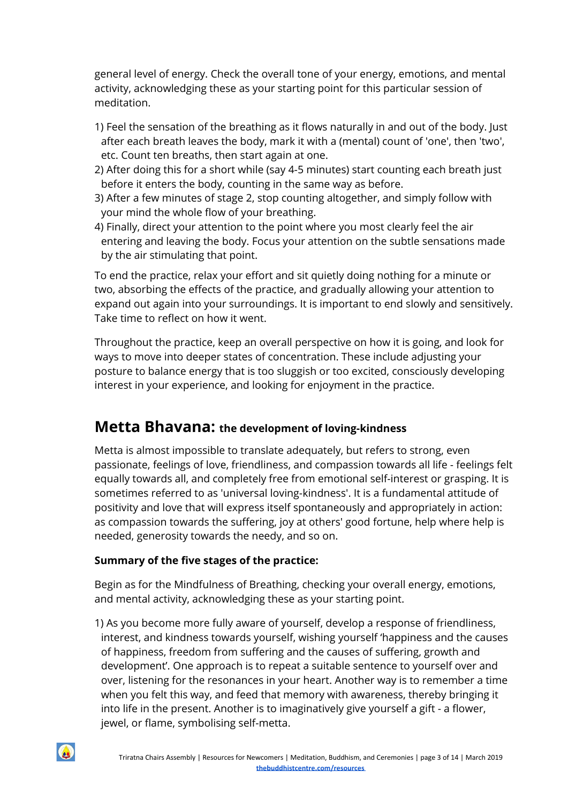general level of energy. Check the overall tone of your energy, emotions, and mental activity, acknowledging these as your starting point for this particular session of meditation.

- 1) Feel the sensation of the breathing as it flows naturally in and out of the body. Just after each breath leaves the body, mark it with a (mental) count of 'one', then 'two', etc. Count ten breaths, then start again at one.
- 2) After doing this for a short while (say 4-5 minutes) start counting each breath just before it enters the body, counting in the same way as before.
- 3) After a few minutes of stage 2, stop counting altogether, and simply follow with your mind the whole flow of your breathing.
- 4) Finally, direct your attention to the point where you most clearly feel the air entering and leaving the body. Focus your attention on the subtle sensations made by the air stimulating that point.

To end the practice, relax your effort and sit quietly doing nothing for a minute or two, absorbing the effects of the practice, and gradually allowing your attention to expand out again into your surroundings. It is important to end slowly and sensitively. Take time to reflect on how it went.

Throughout the practice, keep an overall perspective on how it is going, and look for ways to move into deeper states of concentration. These include adjusting your posture to balance energy that is too sluggish or too excited, consciously developing interest in your experience, and looking for enjoyment in the practice.

## **Metta Bhavana: the development of loving-kindness**

Metta is almost impossible to translate adequately, but refers to strong, even passionate, feelings of love, friendliness, and compassion towards all life - feelings felt equally towards all, and completely free from emotional self-interest or grasping. It is sometimes referred to as 'universal loving-kindness'. It is a fundamental attitude of positivity and love that will express itself spontaneously and appropriately in action: as compassion towards the suffering, joy at others' good fortune, help where help is needed, generosity towards the needy, and so on.

#### **Summary of the five stages of the practice:**

Begin as for the Mindfulness of Breathing, checking your overall energy, emotions, and mental activity, acknowledging these as your starting point.

1) As you become more fully aware of yourself, develop a response of friendliness, interest, and kindness towards yourself, wishing yourself 'happiness and the causes of happiness, freedom from suffering and the causes of suffering, growth and development'. One approach is to repeat a suitable sentence to yourself over and over, listening for the resonances in your heart. Another way is to remember a time when you felt this way, and feed that memory with awareness, thereby bringing it into life in the present. Another is to imaginatively give yourself a gift - a flower, jewel, or flame, symbolising self-metta.

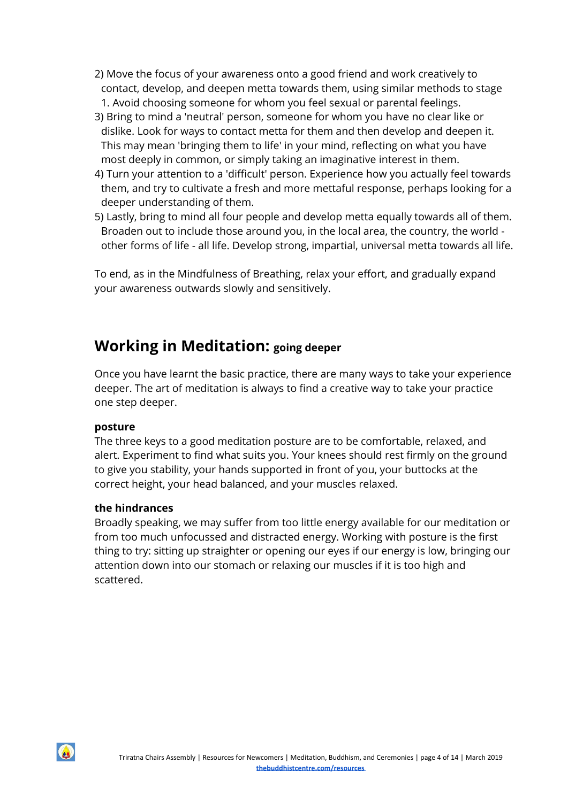- 2) Move the focus of your awareness onto a good friend and work creatively to contact, develop, and deepen metta towards them, using similar methods to stage 1. Avoid choosing someone for whom you feel sexual or parental feelings.
- 3) Bring to mind a 'neutral' person, someone for whom you have no clear like or dislike. Look for ways to contact metta for them and then develop and deepen it. This may mean 'bringing them to life' in your mind, reflecting on what you have most deeply in common, or simply taking an imaginative interest in them.
- 4) Turn your attention to a 'difficult' person. Experience how you actually feel towards them, and try to cultivate a fresh and more mettaful response, perhaps looking for a deeper understanding of them.
- 5) Lastly, bring to mind all four people and develop metta equally towards all of them. Broaden out to include those around you, in the local area, the country, the world other forms of life - all life. Develop strong, impartial, universal metta towards all life.

To end, as in the Mindfulness of Breathing, relax your effort, and gradually expand your awareness outwards slowly and sensitively.

## **Working in Meditation: going deeper**

Once you have learnt the basic practice, there are many ways to take your experience deeper. The art of meditation is always to find a creative way to take your practice one step deeper.

#### **posture**

The three keys to a good meditation posture are to be comfortable, relaxed, and alert. Experiment to find what suits you. Your knees should rest firmly on the ground to give you stability, your hands supported in front of you, your buttocks at the correct height, your head balanced, and your muscles relaxed.

#### **the hindrances**

Broadly speaking, we may suffer from too little energy available for our meditation or from too much unfocussed and distracted energy. Working with posture is the first thing to try: sitting up straighter or opening our eyes if our energy is low, bringing our attention down into our stomach or relaxing our muscles if it is too high and scattered.

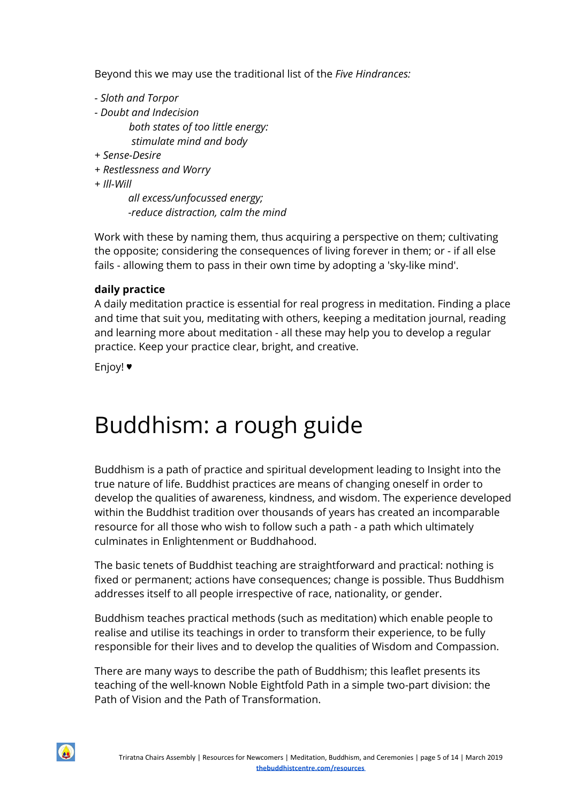Beyond this we may use the traditional list of the *Five Hindrances:*

- *- Sloth and Torpor*
- *- Doubt and Indecision both states of too little energy: stimulate mind and body*
- *+ Sense-Desire*
- *+ Restlessness and Worry*
- *+ Ill-Will*

*all excess/unfocussed energy; -reduce distraction, calm the mind*

Work with these by naming them, thus acquiring a perspective on them; cultivating the opposite; considering the consequences of living forever in them; or - if all else fails - allowing them to pass in their own time by adopting a 'sky-like mind'.

#### **daily practice**

A daily meditation practice is essential for real progress in meditation. Finding a place and time that suit you, meditating with others, keeping a meditation journal, reading and learning more about meditation - all these may help you to develop a regular practice. Keep your practice clear, bright, and creative.

Enjoy! ♥

## Buddhism: a rough guide

Buddhism is a path of practice and spiritual development leading to Insight into the true nature of life. Buddhist practices are means of changing oneself in order to develop the qualities of awareness, kindness, and wisdom. The experience developed within the Buddhist tradition over thousands of years has created an incomparable resource for all those who wish to follow such a path - a path which ultimately culminates in Enlightenment or Buddhahood.

The basic tenets of Buddhist teaching are straightforward and practical: nothing is fixed or permanent; actions have consequences; change is possible. Thus Buddhism addresses itself to all people irrespective of race, nationality, or gender.

Buddhism teaches practical methods (such as meditation) which enable people to realise and utilise its teachings in order to transform their experience, to be fully responsible for their lives and to develop the qualities of Wisdom and Compassion.

There are many ways to describe the path of Buddhism; this leaflet presents its teaching of the well-known Noble Eightfold Path in a simple two-part division: the Path of Vision and the Path of Transformation.

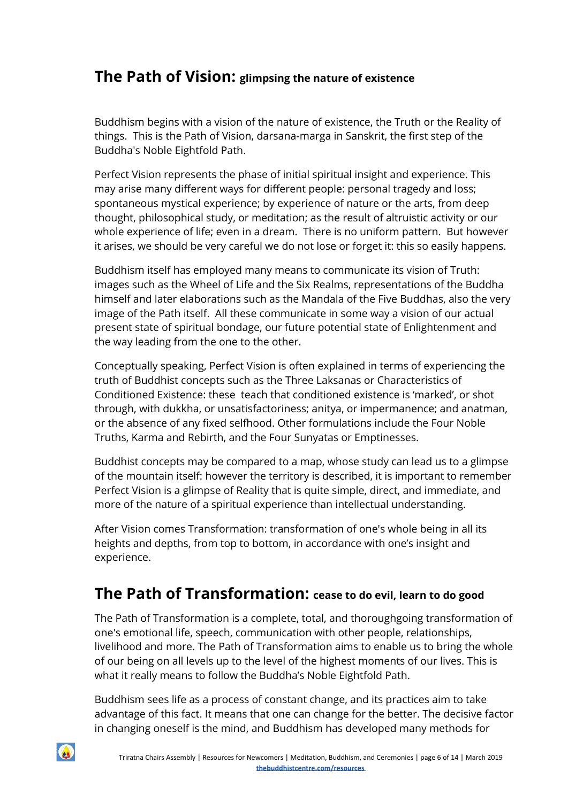## **The Path of Vision: glimpsing the nature of existence**

Buddhism begins with a vision of the nature of existence, the Truth or the Reality of things. This is the Path of Vision, darsana-marga in Sanskrit, the first step of the Buddha's Noble Eightfold Path.

Perfect Vision represents the phase of initial spiritual insight and experience. This may arise many different ways for different people: personal tragedy and loss; spontaneous mystical experience; by experience of nature or the arts, from deep thought, philosophical study, or meditation; as the result of altruistic activity or our whole experience of life; even in a dream. There is no uniform pattern. But however it arises, we should be very careful we do not lose or forget it: this so easily happens.

Buddhism itself has employed many means to communicate its vision of Truth: images such as the Wheel of Life and the Six Realms, representations of the Buddha himself and later elaborations such as the Mandala of the Five Buddhas, also the very image of the Path itself. All these communicate in some way a vision of our actual present state of spiritual bondage, our future potential state of Enlightenment and the way leading from the one to the other.

Conceptually speaking, Perfect Vision is often explained in terms of experiencing the truth of Buddhist concepts such as the Three Laksanas or Characteristics of Conditioned Existence: these teach that conditioned existence is 'marked', or shot through, with dukkha, or unsatisfactoriness; anitya, or impermanence; and anatman, or the absence of any fixed selfhood. Other formulations include the Four Noble Truths, Karma and Rebirth, and the Four Sunyatas or Emptinesses.

Buddhist concepts may be compared to a map, whose study can lead us to a glimpse of the mountain itself: however the territory is described, it is important to remember Perfect Vision is a glimpse of Reality that is quite simple, direct, and immediate, and more of the nature of a spiritual experience than intellectual understanding.

After Vision comes Transformation: transformation of one's whole being in all its heights and depths, from top to bottom, in accordance with one's insight and experience.

## **The Path of Transformation: cease to do evil, learn to do good**

The Path of Transformation is a complete, total, and thoroughgoing transformation of one's emotional life, speech, communication with other people, relationships, livelihood and more. The Path of Transformation aims to enable us to bring the whole of our being on all levels up to the level of the highest moments of our lives. This is what it really means to follow the Buddha's Noble Eightfold Path.

Buddhism sees life as a process of constant change, and its practices aim to take advantage of this fact. It means that one can change for the better. The decisive factor in changing oneself is the mind, and Buddhism has developed many methods for

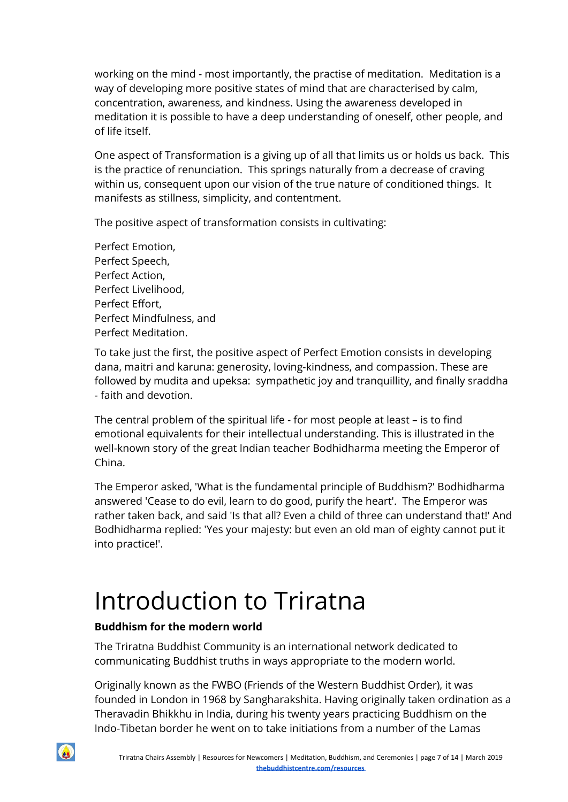working on the mind - most importantly, the practise of meditation. Meditation is a way of developing more positive states of mind that are characterised by calm, concentration, awareness, and kindness. Using the awareness developed in meditation it is possible to have a deep understanding of oneself, other people, and of life itself.

One aspect of Transformation is a giving up of all that limits us or holds us back. This is the practice of renunciation. This springs naturally from a decrease of craving within us, consequent upon our vision of the true nature of conditioned things. It manifests as stillness, simplicity, and contentment.

The positive aspect of transformation consists in cultivating:

Perfect Emotion, Perfect Speech, Perfect Action, Perfect Livelihood, Perfect Effort, Perfect Mindfulness, and Perfect Meditation.

To take just the first, the positive aspect of Perfect Emotion consists in developing dana, maitri and karuna: generosity, loving-kindness, and compassion. These are followed by mudita and upeksa: sympathetic joy and tranquillity, and finally sraddha - faith and devotion.

The central problem of the spiritual life - for most people at least – is to find emotional equivalents for their intellectual understanding. This is illustrated in the well-known story of the great Indian teacher Bodhidharma meeting the Emperor of China.

The Emperor asked, 'What is the fundamental principle of Buddhism?' Bodhidharma answered 'Cease to do evil, learn to do good, purify the heart'. The Emperor was rather taken back, and said 'Is that all? Even a child of three can understand that!' And Bodhidharma replied: 'Yes your majesty: but even an old man of eighty cannot put it into practice!'.

# Introduction to Triratna

#### **Buddhism for the modern world**

The Triratna Buddhist Community is an international network dedicated to communicating Buddhist truths in ways appropriate to the modern world.

Originally known as the FWBO (Friends of the Western Buddhist Order), it was founded in London in 1968 by Sangharakshita. Having originally taken ordination as a Theravadin Bhikkhu in India, during his twenty years practicing Buddhism on the Indo-Tibetan border he went on to take initiations from a number of the Lamas

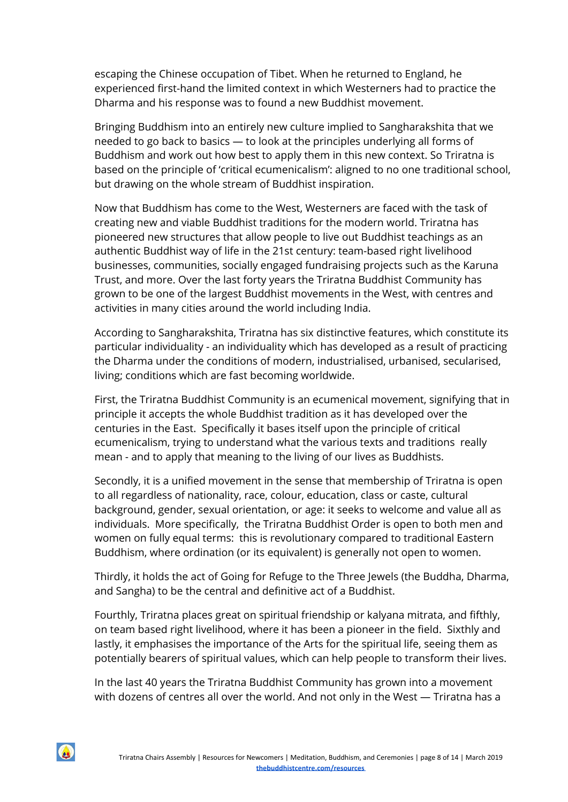escaping the Chinese occupation of Tibet. When he returned to England, he experienced first-hand the limited context in which Westerners had to practice the Dharma and his response was to found a new Buddhist movement.

Bringing Buddhism into an entirely new culture implied to Sangharakshita that we needed to go back to basics — to look at the principles underlying all forms of Buddhism and work out how best to apply them in this new context. So Triratna is based on the principle of 'critical ecumenicalism': aligned to no one traditional school, but drawing on the whole stream of Buddhist inspiration.

Now that Buddhism has come to the West, Westerners are faced with the task of creating new and viable Buddhist traditions for the modern world. Triratna has pioneered new structures that allow people to live out Buddhist teachings as an authentic Buddhist way of life in the 21st century: team-based right livelihood businesses, communities, socially engaged fundraising projects such as the Karuna Trust, and more. Over the last forty years the Triratna Buddhist Community has grown to be one of the largest Buddhist movements in the West, with centres and activities in many cities around the world including India.

According to Sangharakshita, Triratna has six distinctive features, which constitute its particular individuality - an individuality which has developed as a result of practicing the Dharma under the conditions of modern, industrialised, urbanised, secularised, living; conditions which are fast becoming worldwide.

First, the Triratna Buddhist Community is an ecumenical movement, signifying that in principle it accepts the whole Buddhist tradition as it has developed over the centuries in the East. Specifically it bases itself upon the principle of critical ecumenicalism, trying to understand what the various texts and traditions really mean - and to apply that meaning to the living of our lives as Buddhists.

Secondly, it is a unified movement in the sense that membership of Triratna is open to all regardless of nationality, race, colour, education, class or caste, cultural background, gender, sexual orientation, or age: it seeks to welcome and value all as individuals. More specifically, the Triratna Buddhist Order is open to both men and women on fully equal terms: this is revolutionary compared to traditional Eastern Buddhism, where ordination (or its equivalent) is generally not open to women.

Thirdly, it holds the act of Going for Refuge to the Three Jewels (the Buddha, Dharma, and Sangha) to be the central and definitive act of a Buddhist.

Fourthly, Triratna places great on spiritual friendship or kalyana mitrata, and fifthly, on team based right livelihood, where it has been a pioneer in the field. Sixthly and lastly, it emphasises the importance of the Arts for the spiritual life, seeing them as potentially bearers of spiritual values, which can help people to transform their lives.

In the last 40 years the Triratna Buddhist Community has grown into a movement with dozens of centres all over the world. And not only in the West — Triratna has a

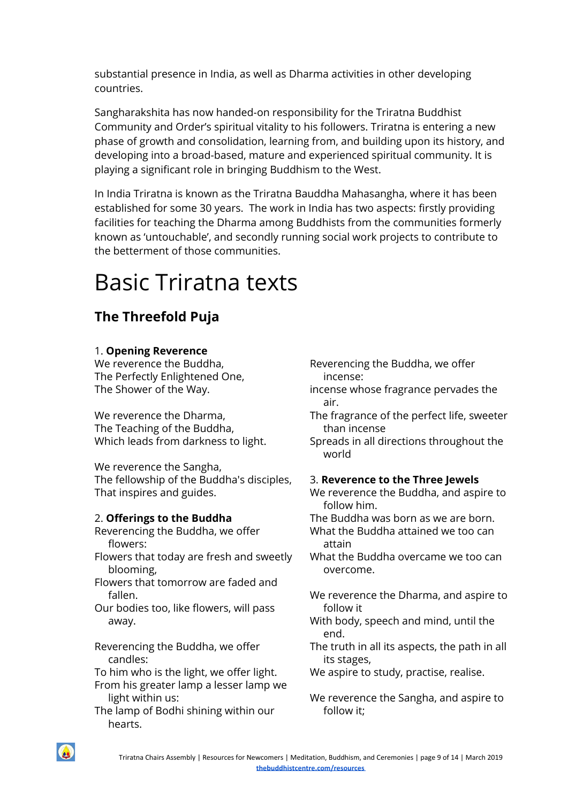substantial presence in India, as well as Dharma activities in other developing countries.

Sangharakshita has now handed-on responsibility for the Triratna Buddhist Community and Order's spiritual vitality to his followers. Triratna is entering a new phase of growth and consolidation, learning from, and building upon its history, and developing into a broad-based, mature and experienced spiritual community. It is playing a significant role in bringing Buddhism to the West.

In India Triratna is known as the Triratna Bauddha Mahasangha, where it has been established for some 30 years. The work in India has two aspects: firstly providing facilities for teaching the Dharma among Buddhists from the communities formerly known as 'untouchable', and secondly running social work projects to contribute to the betterment of those communities.

## Basic Triratna texts

## **The Threefold Puja**

#### 1. **Opening Reverence**

We reverence the Buddha, The Perfectly Enlightened One, The Shower of the Way.

We reverence the Dharma, The Teaching of the Buddha, Which leads from darkness to light.

We reverence the Sangha, The fellowship of the Buddha's disciples, That inspires and guides.

#### 2. **Offerings to the Buddha**

Reverencing the Buddha, we offer flowers:

- Flowers that today are fresh and sweetly blooming,
- Flowers that tomorrow are faded and fallen.
- Our bodies too, like flowers, will pass away.

Reverencing the Buddha, we offer candles:

To him who is the light, we offer light.

- From his greater lamp a lesser lamp we light within us:
- The lamp of Bodhi shining within our hearts.
- Reverencing the Buddha, we offer incense:
- incense whose fragrance pervades the air.
- The fragrance of the perfect life, sweeter than incense
- Spreads in all directions throughout the world

#### 3. **Reverence to the Three Jewels**

- We reverence the Buddha, and aspire to follow him.
- The Buddha was born as we are born.
- What the Buddha attained we too can attain
- What the Buddha overcame we too can overcome.
- We reverence the Dharma, and aspire to follow it
- With body, speech and mind, until the end.
- The truth in all its aspects, the path in all its stages,
- We aspire to study, practise, realise.
- We reverence the Sangha, and aspire to follow it;

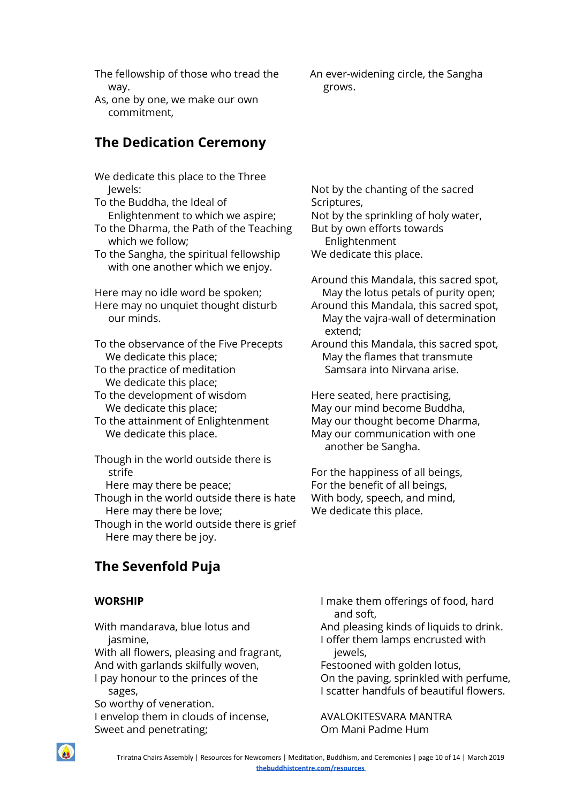The fellowship of those who tread the way.

As, one by one, we make our own commitment,

## **The Dedication Ceremony**

- We dedicate this place to the Three Jewels:
- To the Buddha, the Ideal of Enlightenment to which we aspire;
- To the Dharma, the Path of the Teaching which we follow;
- To the Sangha, the spiritual fellowship with one another which we enjoy.

Here may no idle word be spoken; Here may no unquiet thought disturb our minds.

To the observance of the Five Precepts We dedicate this place;

To the practice of meditation We dedicate this place;

To the development of wisdom We dedicate this place;

- To the attainment of Enlightenment We dedicate this place.
- Though in the world outside there is strife
	- Here may there be peace;
- Though in the world outside there is hate Here may there be love;
- Though in the world outside there is grief Here may there be joy.

## **The Sevenfold Puja**

#### **WORSHIP**

With mandarava, blue lotus and jasmine,

With all flowers, pleasing and fragrant, And with garlands skilfully woven, I pay honour to the princes of the sages,

So worthy of veneration. I envelop them in clouds of incense, Sweet and penetrating;

An ever-widening circle, the Sangha grows.

Not by the chanting of the sacred Scriptures, Not by the sprinkling of holy water, But by own efforts towards Enlightenment We dedicate this place.

Around this Mandala, this sacred spot, May the lotus petals of purity open;

Around this Mandala, this sacred spot, May the vajra-wall of determination extend;

Around this Mandala, this sacred spot, May the flames that transmute Samsara into Nirvana arise.

Here seated, here practising, May our mind become Buddha, May our thought become Dharma, May our communication with one another be Sangha.

For the happiness of all beings, For the benefit of all beings, With body, speech, and mind, We dedicate this place.

I make them offerings of food, hard and soft,

And pleasing kinds of liquids to drink. I offer them lamps encrusted with

jewels,

Festooned with golden lotus, On the paving, sprinkled with perfume, I scatter handfuls of beautiful flowers.

AVALOKITESVARA MANTRA Om Mani Padme Hum

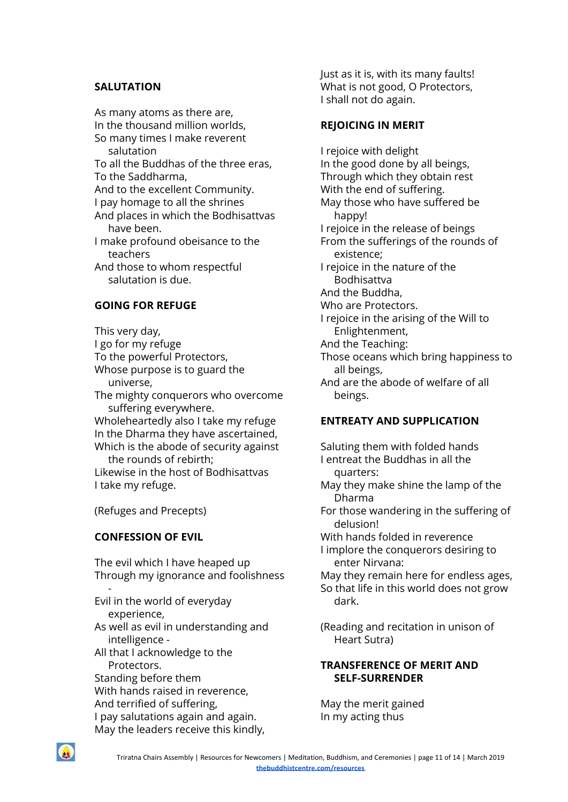#### **SALUTATION**

As many atoms as there are, In the thousand million worlds, So many times I make reverent salutation To all the Buddhas of the three eras, To the Saddharma, And to the excellent Community. I pay homage to all the shrines And places in which the Bodhisattvas have been. I make profound obeisance to the teachers And those to whom respectful salutation is due.

#### **GOING FOR REFUGE**

This very day, I go for my refuge To the powerful Protectors, Whose purpose is to guard the universe, The mighty conquerors who overcome suffering everywhere. Wholeheartedly also I take my refuge In the Dharma they have ascertained,

Which is the abode of security against the rounds of rebirth; Likewise in the host of Bodhisattvas

I take my refuge.

(Refuges and Precepts)

#### **CONFESSION OF EVIL**

The evil which I have heaped up Through my ignorance and foolishness - Evil in the world of everyday experience, As well as evil in understanding and intelligence - All that I acknowledge to the Protectors. Standing before them With hands raised in reverence, And terrified of suffering, I pay salutations again and again. May the leaders receive this kindly,

Just as it is, with its many faults! What is not good, O Protectors, I shall not do again.

#### **REJOICING IN MERIT**

I rejoice with delight In the good done by all beings, Through which they obtain rest With the end of suffering. May those who have suffered be happy! I rejoice in the release of beings From the sufferings of the rounds of existence; I rejoice in the nature of the Bodhisattva And the Buddha, Who are Protectors. I rejoice in the arising of the Will to Enlightenment, And the Teaching: Those oceans which bring happiness to all beings, And are the abode of welfare of all beings.

#### **ENTREATY AND SUPPLICATION**

Saluting them with folded hands I entreat the Buddhas in all the quarters: May they make shine the lamp of the Dharma For those wandering in the suffering of delusion! With hands folded in reverence I implore the conquerors desiring to enter Nirvana: May they remain here for endless ages, So that life in this world does not grow dark.

(Reading and recitation in unison of Heart Sutra)

#### **TRANSFERENCE OF MERIT AND SELF-SURRENDER**

May the merit gained In my acting thus

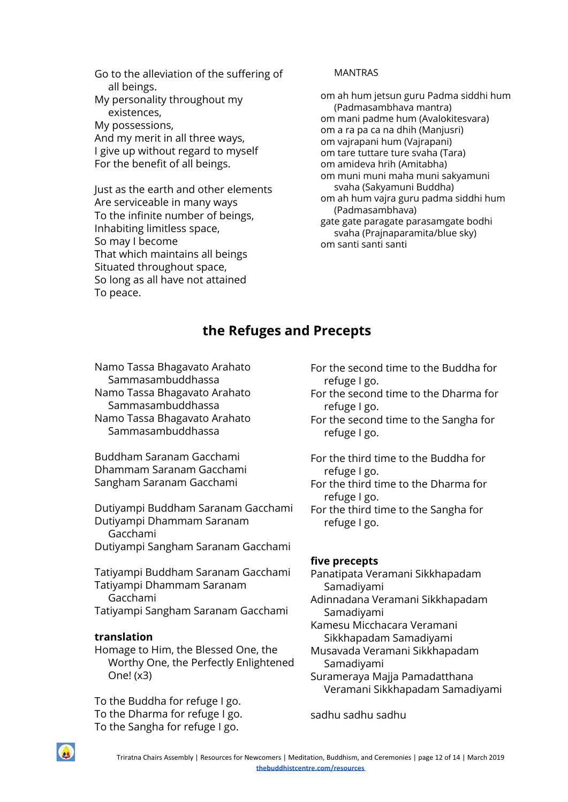Go to the alleviation of the suffering of all beings. My personality throughout my existences, My possessions, And my merit in all three ways, I give up without regard to myself For the benefit of all beings.

Just as the earth and other elements Are serviceable in many ways To the infinite number of beings, Inhabiting limitless space, So may I become That which maintains all beings Situated throughout space, So long as all have not attained To peace.

#### MANTRAS

om ah hum jetsun guru Padma siddhi hum (Padmasambhava mantra) om mani padme hum (Avalokitesvara) om a ra pa ca na dhih (Manjusri) om vajrapani hum (Vajrapani) om tare tuttare ture svaha (Tara) om amideva hrih (Amitabha) om muni muni maha muni sakyamuni svaha (Sakyamuni Buddha) om ah hum vajra guru padma siddhi hum (Padmasambhava) gate gate paragate parasamgate bodhi svaha (Prajnaparamita/blue sky) om santi santi santi

### **the Refuges and Precepts**

Namo Tassa Bhagavato Arahato Sammasambuddhassa Namo Tassa Bhagavato Arahato Sammasambuddhassa Namo Tassa Bhagavato Arahato Sammasambuddhassa

Buddham Saranam Gacchami Dhammam Saranam Gacchami Sangham Saranam Gacchami

Dutiyampi Buddham Saranam Gacchami Dutiyampi Dhammam Saranam Gacchami Dutiyampi Sangham Saranam Gacchami

Tatiyampi Buddham Saranam Gacchami Tatiyampi Dhammam Saranam Gacchami Tatiyampi Sangham Saranam Gacchami

#### **translation**

Homage to Him, the Blessed One, the Worthy One, the Perfectly Enlightened One! (x3)

To the Buddha for refuge I go. To the Dharma for refuge I go. To the Sangha for refuge I go.

- For the second time to the Buddha for refuge I go.
- For the second time to the Dharma for refuge I go.
- For the second time to the Sangha for refuge I go.

For the third time to the Buddha for refuge I go.

- For the third time to the Dharma for refuge I go.
- For the third time to the Sangha for refuge I go.

#### **five precepts**

Panatipata Veramani Sikkhapadam Samadiyami

Adinnadana Veramani Sikkhapadam Samadiyami

Kamesu Micchacara Veramani Sikkhapadam Samadiyami

- Musavada Veramani Sikkhapadam Samadiyami
- Surameraya Majja Pamadatthana Veramani Sikkhapadam Samadiyami

sadhu sadhu sadhu

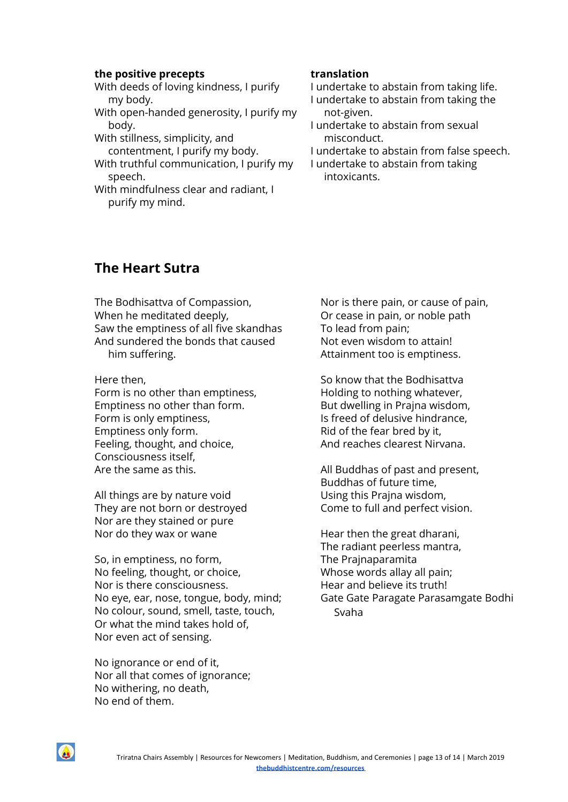#### **the positive precepts**

With deeds of loving kindness, I purify my body.

With open-handed generosity, I purify my body.

With stillness, simplicity, and contentment, I purify my body.

- With truthful communication, I purify my speech.
- With mindfulness clear and radiant, I purify my mind.

#### **translation**

I undertake to abstain from taking life.

- I undertake to abstain from taking the not-given.
- I undertake to abstain from sexual misconduct.
- I undertake to abstain from false speech.
- I undertake to abstain from taking intoxicants.

## **The Heart Sutra**

The Bodhisattva of Compassion, When he meditated deeply, Saw the emptiness of all five skandhas And sundered the bonds that caused him suffering.

Here then,

Form is no other than emptiness, Emptiness no other than form. Form is only emptiness, Emptiness only form. Feeling, thought, and choice, Consciousness itself, Are the same as this.

All things are by nature void They are not born or destroyed Nor are they stained or pure Nor do they wax or wane

So, in emptiness, no form, No feeling, thought, or choice, Nor is there consciousness. No eye, ear, nose, tongue, body, mind; No colour, sound, smell, taste, touch, Or what the mind takes hold of, Nor even act of sensing.

No ignorance or end of it, Nor all that comes of ignorance; No withering, no death, No end of them.

Nor is there pain, or cause of pain, Or cease in pain, or noble path To lead from pain; Not even wisdom to attain! Attainment too is emptiness.

So know that the Bodhisattva Holding to nothing whatever, But dwelling in Prajna wisdom, Is freed of delusive hindrance, Rid of the fear bred by it, And reaches clearest Nirvana.

All Buddhas of past and present, Buddhas of future time, Using this Prajna wisdom, Come to full and perfect vision.

Hear then the great dharani, The radiant peerless mantra, The Prajnaparamita Whose words allay all pain; Hear and believe its truth! Gate Gate Paragate Parasamgate Bodhi Svaha